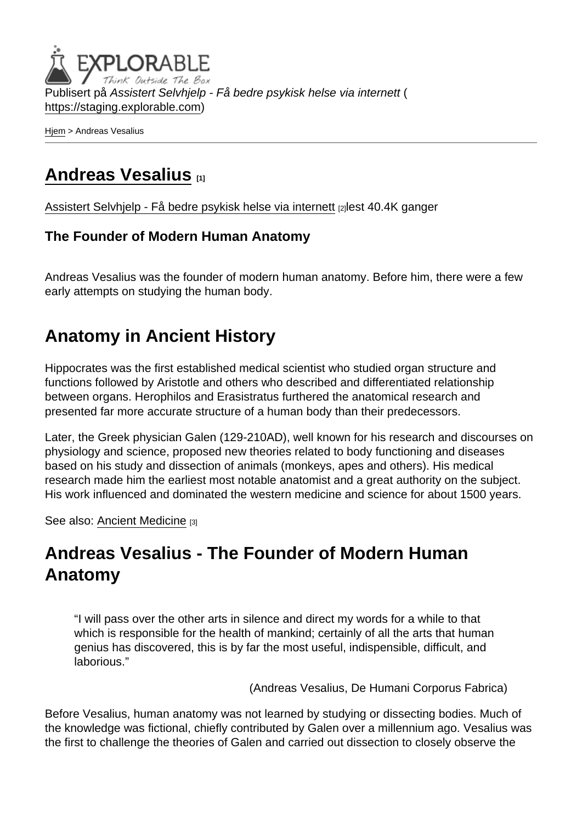Publisert på Assistert Selvhjelp - Få bedre psykisk helse via internett ( <https://staging.explorable.com>)

[Hjem](https://staging.explorable.com/) > Andreas Vesalius

#### [Andreas Vesalius](https://staging.explorable.com/andreas-vesalius) [1]

[Assistert Selvhjelp - Få bedre psykisk helse via internett](https://staging.explorable.com/en) [2] lest 40.4K ganger

#### The Founder of Modern Human Anatomy

Andreas Vesalius was the founder of modern human anatomy. Before him, there were a few early attempts on studying the human body.

### Anatomy in Ancient History

Hippocrates was the first established medical scientist who studied organ structure and functions followed by Aristotle and others who described and differentiated relationship between organs. Herophilos and Erasistratus furthered the anatomical research and presented far more accurate structure of a human body than their predecessors.

Later, the Greek physician Galen (129-210AD), well known for his research and discourses on physiology and science, proposed new theories related to body functioning and diseases based on his study and dissection of animals (monkeys, apes and others). His medical research made him the earliest most notable anatomist and a great authority on the subject. His work influenced and dominated the western medicine and science for about 1500 years.

See also: [Ancient Medicine](https://staging.explorable.com/ancient-medicine) [3]

## Andreas Vesalius - The Founder of Modern Human Anatomy

"I will pass over the other arts in silence and direct my words for a while to that which is responsible for the health of mankind; certainly of all the arts that human genius has discovered, this is by far the most useful, indispensible, difficult, and laborious."

(Andreas Vesalius, De Humani Corporus Fabrica)

Before Vesalius, human anatomy was not learned by studying or dissecting bodies. Much of the knowledge was fictional, chiefly contributed by Galen over a millennium ago. Vesalius was the first to challenge the theories of Galen and carried out dissection to closely observe the